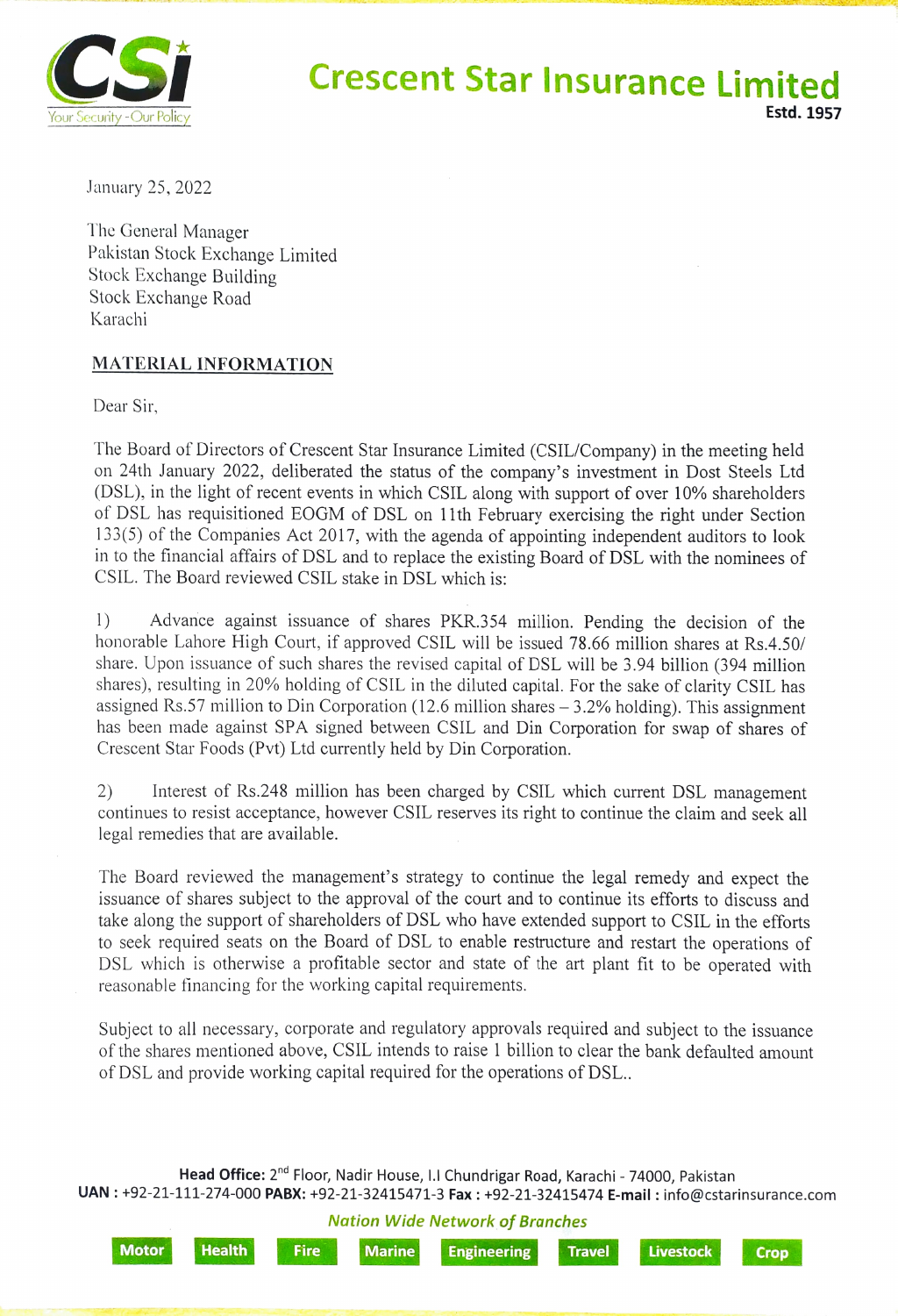

January 25, 2022

The General Manager Pakistan Stock Exchange Limited Stock Exchange Building Stock Exchange Road Karachi

## MATERIAL INFORMATION

Dear Sir,

The Board of Directors of Crescent Star Insurance Limited (CSIL/Company) in the meeting held on 24th January 2022, deliberated the status of the company's investment in Dost Steels Ltd (DSL), in the light of recent events in which CSIL along with support of over 10% shareholders of DSL has requisitioned EOGM of DSL on 11th February exercising the right under Section 133(5) of the Companies Act 2017, with the agenda of appointing independent auditors to look in to the financial affairs of DSL and to replace the existing Board of DSL with the nominees of CSIL. The Board reviewed CSIL stake in DSL which is:

1) Advance against issuance of shares PKR.354 million. Pending the decision of the honorable Lahore High Court, if approved CSIL will be issued 78.66 million shares at Rs.4.50/ share. Upon issuance of such shares the revised capital of DSL will be 3.94 billion (394 million shares), resulting in 20% holding of CSIL in the diluted capital. For the sake of clarity CSIL has assigned Rs.57 million to Din Corporation (12.6 million shares  $-3.2\%$  holding). This assignment has been made against SPA signed between CSIL and Din Corporation for swap of shares of Crescent Star Foods (Pvt) Ltd currently held by Din Corporation.

2) Interest of Rs.248 million has been charged by CSIL which current DSL management continues to resist acceptance, however CSIL reserves its right to continue the claim and seek all legal remedies that are available.

The Board reviewed the management's strategy to continue the legal remedy and expect the issuance of shares subject to the approval of the court and to continue its efforts to discuss and take along the support of shareholders of DSL who have extended support to CSIL in the efforts to seek required seats on the Board of DSL to enable restructure and restart the operations of DSL which is otherwise a profitable sector and state of the art plant fit to be operated with reasonable financing for the working capital requirements.

Subject to all necessary, corporate and regulatory approvals required and subject to the issuance of the shares mentioned above, CSIL intends to raise 1 billion to clear the bank defaulted amount of DSL and provide working capital required for the operations of DSL..

Head Office: 2<sup>nd</sup> Floor, Nadir House, I.I Chundrigar Road, Karachi - 74000, Pakistan UAN: +92-21-111-274-000 PABX: +92-21-32415471-3 Fax : +92-21-32415474 E-mail: info@cstarinsurance.com

Nation Wide Network of Branches

Motor Health Fire Marine Engineering Travel Livestock Cro